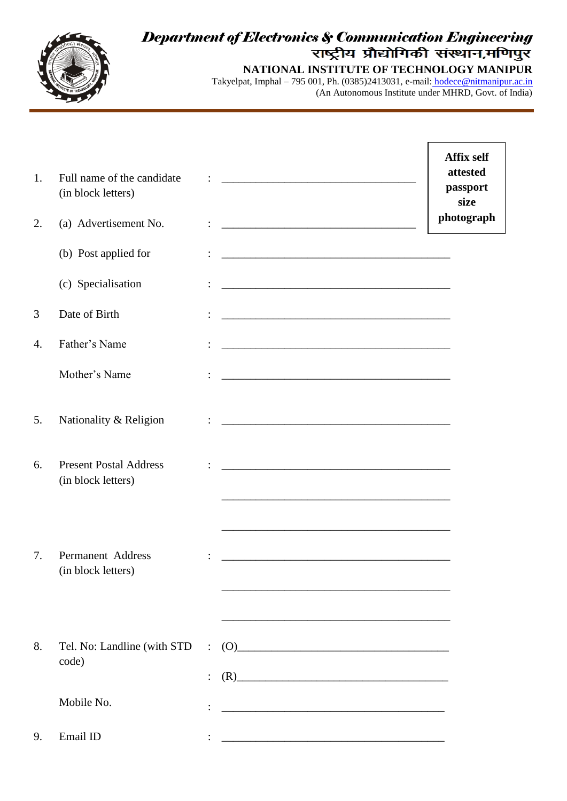

## *Department of Electronics & Communication Engineering*

**NATIONAL INSTITUTE OF TECHNOLOGY MANIPUR** Takyelpat, Imphal – 795 001, Ph. (0385)2413031, e-mail: [hodece@nitmanipur.ac.in](mailto:%20hodece@nitmanipur.ac.in) (An Autonomous Institute under MHRD, Govt. of India)

| 1. | Full name of the candidate<br>(in block letters)    |                |                                                                                                                                                                                                                                                                                                                                                                                                                                                                                                                                                                                                                | <b>Affix self</b><br>attested<br>passport<br>size |
|----|-----------------------------------------------------|----------------|----------------------------------------------------------------------------------------------------------------------------------------------------------------------------------------------------------------------------------------------------------------------------------------------------------------------------------------------------------------------------------------------------------------------------------------------------------------------------------------------------------------------------------------------------------------------------------------------------------------|---------------------------------------------------|
| 2. | (a) Advertisement No.                               |                |                                                                                                                                                                                                                                                                                                                                                                                                                                                                                                                                                                                                                | photograph                                        |
|    | (b) Post applied for                                |                | <u> 1989 - Johann Barbara, martxa alemaniar argamento de la contrada de la contrada de la contrada de la contrada</u>                                                                                                                                                                                                                                                                                                                                                                                                                                                                                          |                                                   |
|    | (c) Specialisation                                  |                |                                                                                                                                                                                                                                                                                                                                                                                                                                                                                                                                                                                                                |                                                   |
| 3  | Date of Birth                                       |                |                                                                                                                                                                                                                                                                                                                                                                                                                                                                                                                                                                                                                |                                                   |
| 4. | Father's Name                                       |                |                                                                                                                                                                                                                                                                                                                                                                                                                                                                                                                                                                                                                |                                                   |
|    | Mother's Name                                       |                |                                                                                                                                                                                                                                                                                                                                                                                                                                                                                                                                                                                                                |                                                   |
| 5. | Nationality & Religion                              |                |                                                                                                                                                                                                                                                                                                                                                                                                                                                                                                                                                                                                                |                                                   |
| 6. | <b>Present Postal Address</b><br>(in block letters) |                |                                                                                                                                                                                                                                                                                                                                                                                                                                                                                                                                                                                                                |                                                   |
| 7. | Permanent Address<br>(in block letters)             |                |                                                                                                                                                                                                                                                                                                                                                                                                                                                                                                                                                                                                                |                                                   |
| 8. | Tel. No: Landline (with STD<br>code)                | $\ddot{\cdot}$ | <u> 1989 - Johann John Stone, market fan it ferskearre fan it ferskearre fan it ferskearre fan it ferskearre fan i</u><br>$(0)$ and $(0)$ and $(0)$ and $(0)$ and $(0)$ and $(0)$ and $(0)$ and $(0)$ and $(0)$ and $(0)$ and $(0)$ and $(0)$ and $(0)$ and $(0)$ and $(0)$ and $(0)$ and $(0)$ and $(0)$ and $(0)$ and $(0)$ and $(0)$ and $(0)$ and<br>$(R)$ and $(R)$ and $(R)$ and $(R)$ and $(R)$ and $(R)$ and $(R)$ and $(R)$ and $(R)$ and $(R)$ and $(R)$ and $(R)$ and $(R)$ and $(R)$ and $(R)$ and $(R)$ and $(R)$ and $(R)$ and $(R)$ and $(R)$ and $(R)$ and $(R)$ and $(R)$ and $(R)$ and $(R)$ |                                                   |
|    | Mobile No.                                          |                |                                                                                                                                                                                                                                                                                                                                                                                                                                                                                                                                                                                                                |                                                   |
| 9. | Email ID                                            |                |                                                                                                                                                                                                                                                                                                                                                                                                                                                                                                                                                                                                                |                                                   |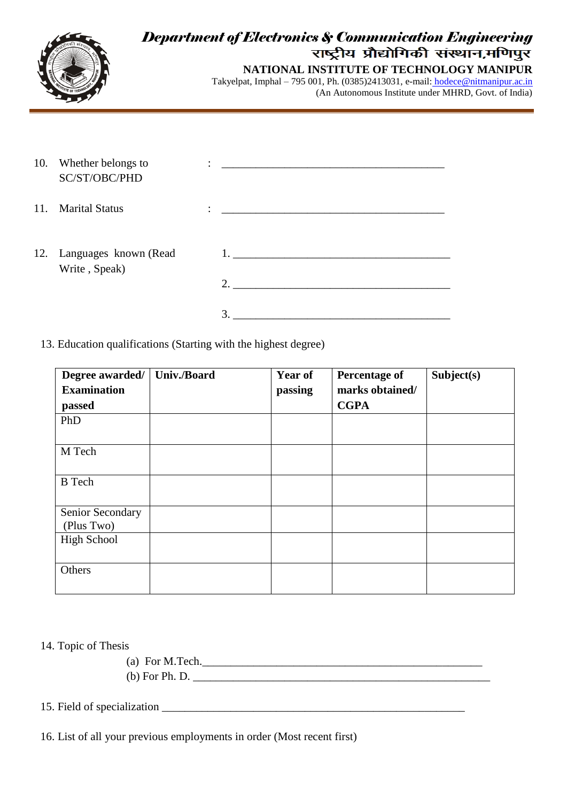

# *Department of Electronics & Communication Engineering*

**NATIONAL INSTITUTE OF TECHNOLOGY MANIPUR** Takyelpat, Imphal – 795 001, Ph. (0385)2413031, e-mail: [hodece@nitmanipur.ac.in](mailto:%20hodece@nitmanipur.ac.in) (An Autonomous Institute under MHRD, Govt. of India)

| 10. | Whether belongs to<br>SC/ST/OBC/PHD    | <u> 1980 - Jan Sterling von Berling von Berling von Berling von Berling von Berling von Berling von Berling von B</u> |  |
|-----|----------------------------------------|-----------------------------------------------------------------------------------------------------------------------|--|
| 11. | <b>Marital Status</b>                  | $\bullet$                                                                                                             |  |
| 12. | Languages known (Read<br>Write, Speak) | 2.                                                                                                                    |  |
|     |                                        | 3.                                                                                                                    |  |

13. Education qualifications (Starting with the highest degree)

| Degree awarded/                | <b>Univ./Board</b> | <b>Year of</b> | <b>Percentage of</b>           | Subject(s) |
|--------------------------------|--------------------|----------------|--------------------------------|------------|
| <b>Examination</b><br>passed   |                    | passing        | marks obtained/<br><b>CGPA</b> |            |
| PhD                            |                    |                |                                |            |
| M Tech                         |                    |                |                                |            |
| <b>B</b> Tech                  |                    |                |                                |            |
| Senior Secondary<br>(Plus Two) |                    |                |                                |            |
| <b>High School</b>             |                    |                |                                |            |
| Others                         |                    |                |                                |            |

14. Topic of Thesis

(a) For M.Tech. $\blacksquare$ (b) For Ph. D. \_\_\_\_\_\_\_\_\_\_\_\_\_\_\_\_\_\_\_\_\_\_\_\_\_\_\_\_\_\_\_\_\_\_\_\_\_\_\_\_\_\_\_\_\_\_\_\_\_\_\_\_

15. Field of specialization  $\Box$ 

16. List of all your previous employments in order (Most recent first)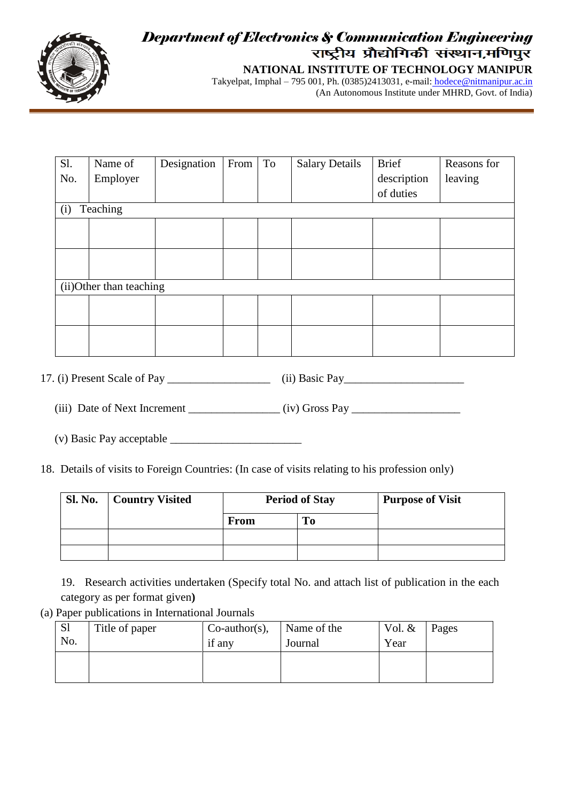

## *Department of Electronics & Communication Engineering*

**NATIONAL INSTITUTE OF TECHNOLOGY MANIPUR** Takyelpat, Imphal – 795 001, Ph. (0385)2413031, e-mail: [hodece@nitmanipur.ac.in](mailto:%20hodece@nitmanipur.ac.in) (An Autonomous Institute under MHRD, Govt. of India)

| Sl.                      | Name of  | Designation | From | To | <b>Salary Details</b> | <b>Brief</b> | Reasons for |
|--------------------------|----------|-------------|------|----|-----------------------|--------------|-------------|
| No.                      | Employer |             |      |    |                       | description  | leaving     |
|                          |          |             |      |    |                       | of duties    |             |
| (i)                      | Teaching |             |      |    |                       |              |             |
|                          |          |             |      |    |                       |              |             |
|                          |          |             |      |    |                       |              |             |
|                          |          |             |      |    |                       |              |             |
|                          |          |             |      |    |                       |              |             |
| (ii) Other than teaching |          |             |      |    |                       |              |             |
|                          |          |             |      |    |                       |              |             |
|                          |          |             |      |    |                       |              |             |
|                          |          |             |      |    |                       |              |             |
|                          |          |             |      |    |                       |              |             |

17. (i) Present Scale of Pay \_\_\_\_\_\_\_\_\_\_\_\_\_\_\_\_\_\_\_\_\_\_\_\_ (ii) Basic Pay\_\_\_\_\_\_\_\_\_\_\_\_\_

(iii) Date of Next Increment \_\_\_\_\_\_\_\_\_\_\_\_\_\_\_\_ (iv) Gross Pay \_\_\_\_\_\_\_\_\_\_\_\_\_\_\_\_\_\_\_

 $(v)$  Basic Pay acceptable  $\_\_$ 

18. Details of visits to Foreign Countries: (In case of visits relating to his profession only)

| <b>Sl. No.</b> | <b>Country Visited</b> | <b>Period of Stay</b> |    | <b>Purpose of Visit</b> |
|----------------|------------------------|-----------------------|----|-------------------------|
|                |                        | <b>From</b>           | To |                         |
|                |                        |                       |    |                         |
|                |                        |                       |    |                         |

19. Research activities undertaken (Specify total No. and attach list of publication in the each category as per format given**)**

(a) Paper publications in International Journals

| <sub>S1</sub><br>No. | Title of paper | $Co$ -author(s),<br>if any | Name of the<br>Journal | Vol. $&$<br>Year | Pages |
|----------------------|----------------|----------------------------|------------------------|------------------|-------|
|                      |                |                            |                        |                  |       |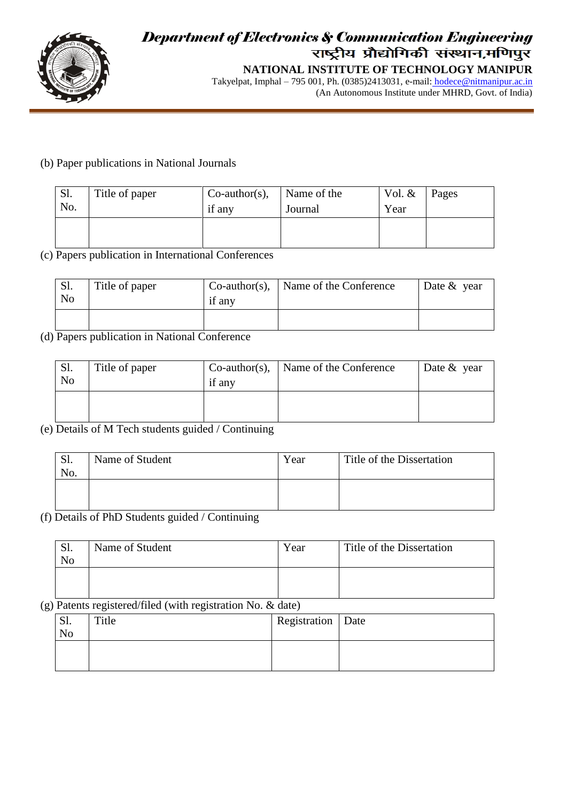

### *Department of Electronics & Communication Engineering* **NATIONAL INSTITUTE OF TECHNOLOGY MANIPUR**

Takyelpat, Imphal – 795 001, Ph. (0385)2413031, e-mail: [hodece@nitmanipur.ac.in](mailto:%20hodece@nitmanipur.ac.in) (An Autonomous Institute under MHRD, Govt. of India)

#### (b) Paper publications in National Journals

| Sl.<br>No. | Title of paper | $Co$ -author(s),<br>if any | Name of the<br>Journal | Vol. $&$<br>Year | Pages |
|------------|----------------|----------------------------|------------------------|------------------|-------|
|            |                |                            |                        |                  |       |

#### (c) Papers publication in International Conferences

| Sl.<br>N <sub>0</sub> | Title of paper | if any | $Co\text{-}author(s)$ ,   Name of the Conference | Date $&$ year |
|-----------------------|----------------|--------|--------------------------------------------------|---------------|
|                       |                |        |                                                  |               |

#### (d) Papers publication in National Conference

| Sl.<br>No | Title of paper | if any | $Co\text{-}author(s)$ , Name of the Conference | Date $&$ year |
|-----------|----------------|--------|------------------------------------------------|---------------|
|           |                |        |                                                |               |

#### (e) Details of M Tech students guided / Continuing

| <b>C</b> 1<br>IJΙ.<br>No. | Name of Student | Year | Title of the Dissertation |
|---------------------------|-----------------|------|---------------------------|
|                           |                 |      |                           |

#### (f) Details of PhD Students guided / Continuing

| Sl.<br>No | Name of Student | Year | Title of the Dissertation |
|-----------|-----------------|------|---------------------------|
|           |                 |      |                           |

#### (g) Patents registered/filed (with registration No. & date)

| .וט<br>N <sub>o</sub> | Title | Registration   Date |  |
|-----------------------|-------|---------------------|--|
|                       |       |                     |  |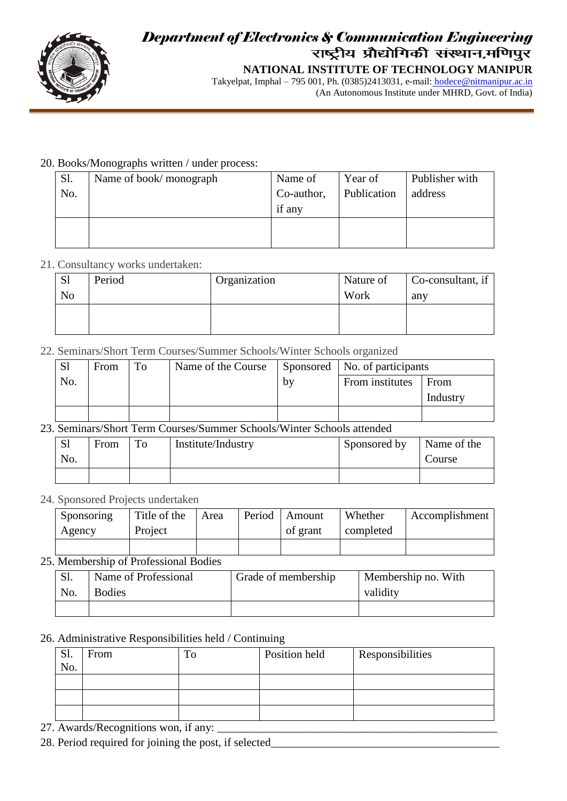

### *Department of Electronics & Communication Engineering* **NATIONAL INSTITUTE OF TECHNOLOGY MANIPUR**

Takyelpat, Imphal – 795 001, Ph. (0385)2413031, e-mail: [hodece@nitmanipur.ac.in](mailto:%20hodece@nitmanipur.ac.in) (An Autonomous Institute under MHRD, Govt. of India)

#### 20. Books/Monographs written / under process:

| Sl. | Name of book/monograph | Name of    | Year of     | Publisher with |
|-----|------------------------|------------|-------------|----------------|
| No. |                        | Co-author, | Publication | address        |
|     |                        | if any     |             |                |
|     |                        |            |             |                |
|     |                        |            |             |                |

#### 21. Consultancy works undertaken:

| <sub>S1</sub>  | Period | Organization | Nature of | Co-consultant, if |
|----------------|--------|--------------|-----------|-------------------|
| N <sub>0</sub> |        |              | Work      | any               |
|                |        |              |           |                   |
|                |        |              |           |                   |

#### 22. Seminars/Short Term Courses/Summer Schools/Winter Schools organized

| S <sub>1</sub> | From | To | Name of the Course |    | Sponsored   No. of participants |          |
|----------------|------|----|--------------------|----|---------------------------------|----------|
| No.            |      |    |                    | by | From institutes                 | From     |
|                |      |    |                    |    |                                 | Industry |
|                |      |    |                    |    |                                 |          |

#### 23. Seminars/Short Term Courses/Summer Schools/Winter Schools attended

| S <sub>1</sub><br>No. | From | To | Institute/Industry | Sponsored by | Name of the<br>Course |
|-----------------------|------|----|--------------------|--------------|-----------------------|
|                       |      |    |                    |              |                       |

#### 24. Sponsored Projects undertaken

| Sponsoring<br>Agency | Title of the<br>Project | Area | Period | Amount<br>of grant | Whether<br>completed | Accomplishment |
|----------------------|-------------------------|------|--------|--------------------|----------------------|----------------|
|                      |                         |      |        |                    |                      |                |

25. Membership of Professional Bodies

| $\mathbf{L}$ | Name of Professional | Grade of membership | Membership no. With |
|--------------|----------------------|---------------------|---------------------|
| No.          | <b>Bodies</b>        |                     | validity            |
|              |                      |                     |                     |

#### 26. Administrative Responsibilities held / Continuing

| C <sub>1</sub><br>، 10<br>No. | From | Position held | <b>Responsibilities</b> |
|-------------------------------|------|---------------|-------------------------|
|                               |      |               |                         |
|                               |      |               |                         |
|                               |      |               |                         |

27. Awards/Recognitions won, if any:

28. Period required for joining the post, if selected\_\_\_\_\_\_\_\_\_\_\_\_\_\_\_\_\_\_\_\_\_\_\_\_\_\_\_